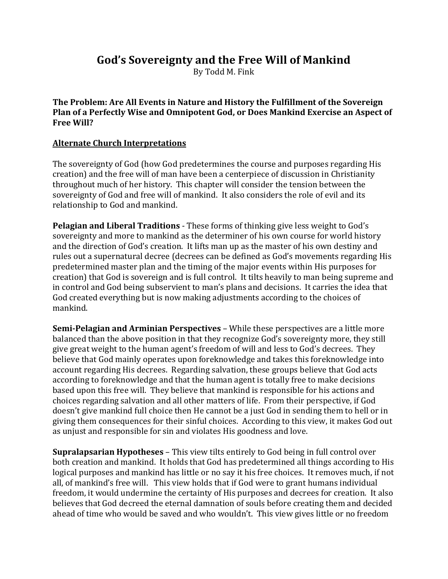## **God's Sovereignty and the Free Will of Mankind**

By Todd M. Fink

**The Problem: Are All Events in Nature and History the Fulfillment of the Sovereign Plan of a Perfectly Wise and Omnipotent God, or Does Mankind Exercise an Aspect of Free Will?**

## **Alternate Church Interpretations**

The sovereignty of God (how God predetermines the course and purposes regarding His creation) and the free will of man have been a centerpiece of discussion in Christianity throughout much of her history. This chapter will consider the tension between the sovereignty of God and free will of mankind. It also considers the role of evil and its relationship to God and mankind.

**Pelagian and Liberal Traditions** - These forms of thinking give less weight to God's sovereignty and more to mankind as the determiner of his own course for world history and the direction of God's creation. It lifts man up as the master of his own destiny and rules out a supernatural decree (decrees can be defined as God's movements regarding His predetermined master plan and the timing of the major events within His purposes for creation) that God is sovereign and is full control. It tilts heavily to man being supreme and in control and God being subservient to man's plans and decisions. It carries the idea that God created everything but is now making adjustments according to the choices of mankind.

**Semi-Pelagian and Arminian Perspectives** – While these perspectives are a little more balanced than the above position in that they recognize God's sovereignty more, they still give great weight to the human agent's freedom of will and less to God's decrees. They believe that God mainly operates upon foreknowledge and takes this foreknowledge into account regarding His decrees. Regarding salvation, these groups believe that God acts according to foreknowledge and that the human agent is totally free to make decisions based upon this free will. They believe that mankind is responsible for his actions and choices regarding salvation and all other matters of life. From their perspective, if God doesn't give mankind full choice then He cannot be a just God in sending them to hell or in giving them consequences for their sinful choices. According to this view, it makes God out as unjust and responsible for sin and violates His goodness and love.

**Supralapsarian Hypotheses** – This view tilts entirely to God being in full control over both creation and mankind. It holds that God has predetermined all things according to His logical purposes and mankind has little or no say it his free choices. It removes much, if not all, of mankind's free will. This view holds that if God were to grant humans individual freedom, it would undermine the certainty of His purposes and decrees for creation. It also believes that God decreed the eternal damnation of souls before creating them and decided ahead of time who would be saved and who wouldn't. This view gives little or no freedom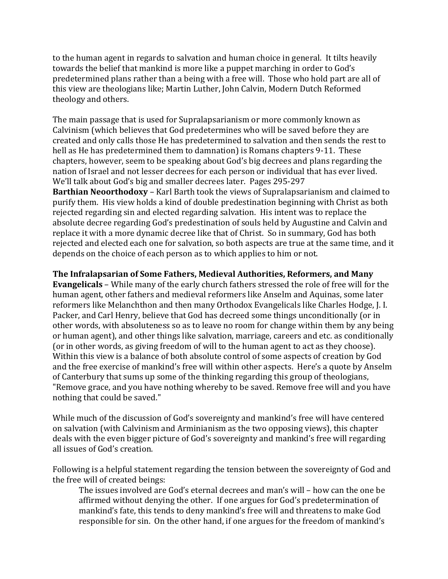to the human agent in regards to salvation and human choice in general. It tilts heavily towards the belief that mankind is more like a puppet marching in order to God's predetermined plans rather than a being with a free will. Those who hold part are all of this view are theologians like; Martin Luther, John Calvin, Modern Dutch Reformed theology and others.

The main passage that is used for Supralapsarianism or more commonly known as Calvinism (which believes that God predetermines who will be saved before they are created and only calls those He has predetermined to salvation and then sends the rest to hell as He has predetermined them to damnation) is Romans chapters 9-11. These chapters, however, seem to be speaking about God's big decrees and plans regarding the nation of Israel and not lesser decrees for each person or individual that has ever lived. We'll talk about God's big and smaller decrees later. Pages 295-297 **Barthian Neoorthodoxy** – Karl Barth took the views of Supralapsarianism and claimed to purify them. His view holds a kind of double predestination beginning with Christ as both rejected regarding sin and elected regarding salvation. His intent was to replace the absolute decree regarding God's predestination of souls held by Augustine and Calvin and replace it with a more dynamic decree like that of Christ. So in summary, God has both rejected and elected each one for salvation, so both aspects are true at the same time, and it depends on the choice of each person as to which applies to him or not.

**The Infralapsarian of Some Fathers, Medieval Authorities, Reformers, and Many Evangelicals** – While many of the early church fathers stressed the role of free will for the human agent, other fathers and medieval reformers like Anselm and Aquinas, some later reformers like Melanchthon and then many Orthodox Evangelicals like Charles Hodge, J. I. Packer, and Carl Henry, believe that God has decreed some things unconditionally (or in other words, with absoluteness so as to leave no room for change within them by any being or human agent), and other things like salvation, marriage, careers and etc. as conditionally (or in other words, as giving freedom of will to the human agent to act as they choose). Within this view is a balance of both absolute control of some aspects of creation by God and the free exercise of mankind's free will within other aspects. Here's a quote by Anselm of Canterbury that sums up some of the thinking regarding this group of theologians, "Remove grace, and you have nothing whereby to be saved. Remove free will and you have nothing that could be saved."

While much of the discussion of God's sovereignty and mankind's free will have centered on salvation (with Calvinism and Arminianism as the two opposing views), this chapter deals with the even bigger picture of God's sovereignty and mankind's free will regarding all issues of God's creation.

Following is a helpful statement regarding the tension between the sovereignty of God and the free will of created beings:

The issues involved are God's eternal decrees and man's will – how can the one be affirmed without denying the other. If one argues for God's predetermination of mankind's fate, this tends to deny mankind's free will and threatens to make God responsible for sin. On the other hand, if one argues for the freedom of mankind's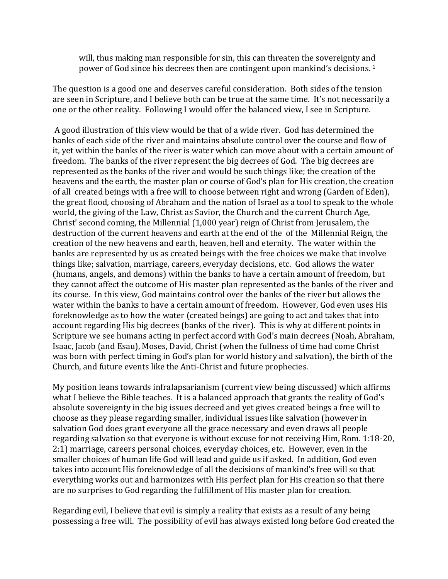will, thus making man responsible for sin, this can threaten the sovereignty and power of God since his decrees then are contingent upon mankind's decisions.<sup>1</sup>

The question is a good one and deserves careful consideration. Both sides of the tension are seen in Scripture, and I believe both can be true at the same time. It's not necessarily a one or the other reality. Following I would offer the balanced view, I see in Scripture.

A good illustration of this view would be that of a wide river. God has determined the banks of each side of the river and maintains absolute control over the course and flow of it, yet within the banks of the river is water which can move about with a certain amount of freedom. The banks of the river represent the big decrees of God. The big decrees are represented as the banks of the river and would be such things like; the creation of the heavens and the earth, the master plan or course of God's plan for His creation, the creation of all created beings with a free will to choose between right and wrong (Garden of Eden), the great flood, choosing of Abraham and the nation of Israel as a tool to speak to the whole world, the giving of the Law, Christ as Savior, the Church and the current Church Age, Christ' second coming, the Millennial (1,000 year) reign of Christ from Jerusalem, the destruction of the current heavens and earth at the end of the of the Millennial Reign, the creation of the new heavens and earth, heaven, hell and eternity. The water within the banks are represented by us as created beings with the free choices we make that involve things like; salvation, marriage, careers, everyday decisions, etc. God allows the water (humans, angels, and demons) within the banks to have a certain amount of freedom, but they cannot affect the outcome of His master plan represented as the banks of the river and its course. In this view, God maintains control over the banks of the river but allows the water within the banks to have a certain amount of freedom. However, God even uses His foreknowledge as to how the water (created beings) are going to act and takes that into account regarding His big decrees (banks of the river). This is why at different points in Scripture we see humans acting in perfect accord with God's main decrees (Noah, Abraham, Isaac, Jacob (and Esau), Moses, David, Christ (when the fullness of time had come Christ was born with perfect timing in God's plan for world history and salvation), the birth of the Church, and future events like the Anti-Christ and future prophecies.

My position leans towards infralapsarianism (current view being discussed) which affirms what I believe the Bible teaches. It is a balanced approach that grants the reality of God's absolute sovereignty in the big issues decreed and yet gives created beings a free will to choose as they please regarding smaller, individual issues like salvation (however in salvation God does grant everyone all the grace necessary and even draws all people regarding salvation so that everyone is without excuse for not receiving Him, Rom. 1:18-20, 2:1) marriage, careers personal choices, everyday choices, etc. However, even in the smaller choices of human life God will lead and guide us if asked. In addition, God even takes into account His foreknowledge of all the decisions of mankind's free will so that everything works out and harmonizes with His perfect plan for His creation so that there are no surprises to God regarding the fulfillment of His master plan for creation.

Regarding evil, I believe that evil is simply a reality that exists as a result of any being possessing a free will. The possibility of evil has always existed long before God created the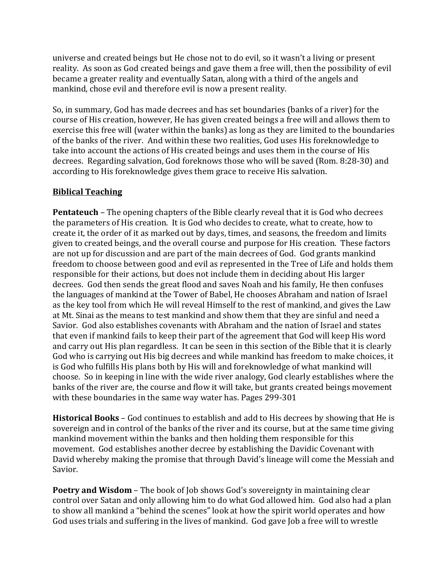universe and created beings but He chose not to do evil, so it wasn't a living or present reality. As soon as God created beings and gave them a free will, then the possibility of evil became a greater reality and eventually Satan, along with a third of the angels and mankind, chose evil and therefore evil is now a present reality.

So, in summary, God has made decrees and has set boundaries (banks of a river) for the course of His creation, however, He has given created beings a free will and allows them to exercise this free will (water within the banks) as long as they are limited to the boundaries of the banks of the river. And within these two realities, God uses His foreknowledge to take into account the actions of His created beings and uses them in the course of His decrees. Regarding salvation, God foreknows those who will be saved (Rom. 8:28-30) and according to His foreknowledge gives them grace to receive His salvation.

## **Biblical Teaching**

**Pentateuch** – The opening chapters of the Bible clearly reveal that it is God who decrees the parameters of His creation. It is God who decides to create, what to create, how to create it, the order of it as marked out by days, times, and seasons, the freedom and limits given to created beings, and the overall course and purpose for His creation. These factors are not up for discussion and are part of the main decrees of God. God grants mankind freedom to choose between good and evil as represented in the Tree of Life and holds them responsible for their actions, but does not include them in deciding about His larger decrees. God then sends the great flood and saves Noah and his family, He then confuses the languages of mankind at the Tower of Babel, He chooses Abraham and nation of Israel as the key tool from which He will reveal Himself to the rest of mankind, and gives the Law at Mt. Sinai as the means to test mankind and show them that they are sinful and need a Savior. God also establishes covenants with Abraham and the nation of Israel and states that even if mankind fails to keep their part of the agreement that God will keep His word and carry out His plan regardless. It can be seen in this section of the Bible that it is clearly God who is carrying out His big decrees and while mankind has freedom to make choices, it is God who fulfills His plans both by His will and foreknowledge of what mankind will choose. So in keeping in line with the wide river analogy, God clearly establishes where the banks of the river are, the course and flow it will take, but grants created beings movement with these boundaries in the same way water has. Pages 299-301

**Historical Books** – God continues to establish and add to His decrees by showing that He is sovereign and in control of the banks of the river and its course, but at the same time giving mankind movement within the banks and then holding them responsible for this movement. God establishes another decree by establishing the Davidic Covenant with David whereby making the promise that through David's lineage will come the Messiah and Savior.

**Poetry and Wisdom** – The book of Job shows God's sovereignty in maintaining clear control over Satan and only allowing him to do what God allowed him. God also had a plan to show all mankind a "behind the scenes" look at how the spirit world operates and how God uses trials and suffering in the lives of mankind. God gave Job a free will to wrestle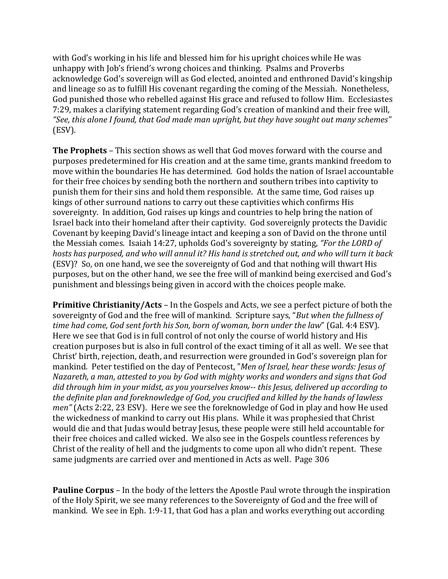with God's working in his life and blessed him for his upright choices while He was unhappy with Job's friend's wrong choices and thinking. Psalms and Proverbs acknowledge God's sovereign will as God elected, anointed and enthroned David's kingship and lineage so as to fulfill His covenant regarding the coming of the Messiah. Nonetheless, God punished those who rebelled against His grace and refused to follow Him. Ecclesiastes 7:29, makes a clarifying statement regarding God's creation of mankind and their free will, *"See, this alone I found, that God made man upright, but they have sought out many schemes"* (ESV).

**The Prophets** – This section shows as well that God moves forward with the course and purposes predetermined for His creation and at the same time, grants mankind freedom to move within the boundaries He has determined. God holds the nation of Israel accountable for their free choices by sending both the northern and southern tribes into captivity to punish them for their sins and hold them responsible. At the same time, God raises up kings of other surround nations to carry out these captivities which confirms His sovereignty. In addition, God raises up kings and countries to help bring the nation of Israel back into their homeland after their captivity. God sovereignly protects the Davidic Covenant by keeping David's lineage intact and keeping a son of David on the throne until the Messiah comes. Isaiah 14:27, upholds God's sovereignty by stating, *"For the LORD of hosts has purposed, and who will annul it? His hand is stretched out, and who will turn it back* (ESV)? So, on one hand, we see the sovereignty of God and that nothing will thwart His purposes, but on the other hand, we see the free will of mankind being exercised and God's punishment and blessings being given in accord with the choices people make.

**Primitive Christianity/Acts** – In the Gospels and Acts, we see a perfect picture of both the sovereignty of God and the free will of mankind. Scripture says, "*But when the fullness of time had come, God sent forth his Son, born of woman, born under the law*" (Gal. 4:4 ESV). Here we see that God is in full control of not only the course of world history and His creation purposes but is also in full control of the exact timing of it all as well. We see that Christ' birth, rejection, death, and resurrection were grounded in God's sovereign plan for mankind. Peter testified on the day of Pentecost, "*Men of Israel, hear these words: Jesus of Nazareth, a man, attested to you by God with mighty works and wonders and signs that God did through him in your midst, as you yourselves know-- this Jesus, delivered up according to the definite plan and foreknowledge of God, you crucified and killed by the hands of lawless men"* (Acts 2:22, 23 ESV). Here we see the foreknowledge of God in play and how He used the wickedness of mankind to carry out His plans. While it was prophesied that Christ would die and that Judas would betray Jesus, these people were still held accountable for their free choices and called wicked. We also see in the Gospels countless references by Christ of the reality of hell and the judgments to come upon all who didn't repent. These same judgments are carried over and mentioned in Acts as well. Page 306

**Pauline Corpus** – In the body of the letters the Apostle Paul wrote through the inspiration of the Holy Spirit, we see many references to the Sovereignty of God and the free will of mankind. We see in Eph. 1:9-11, that God has a plan and works everything out according